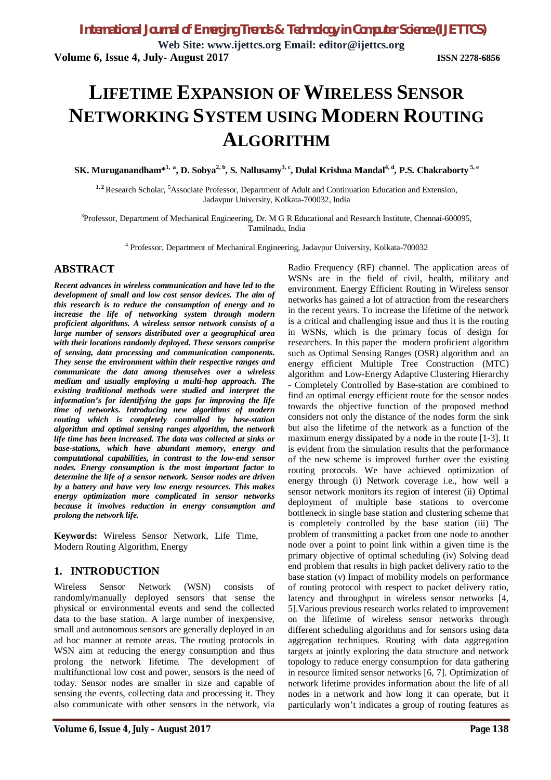**Web Site: www.ijettcs.org Email: editor@ijettcs.org Volume 6, Issue 4, July- August 2017 ISSN 2278-6856**

# **LIFETIME EXPANSION OF WIRELESS SENSOR NETWORKING SYSTEM USING MODERN ROUTING ALGORITHM**

**SK. Muruganandham\*1, <sup>a</sup> , D. Sobya2, b, S. Nallusamy3, c, Dulal Krishna Mandal4, d, P.S. Chakraborty 5, e**

<sup>1, 2</sup> Research Scholar, <sup>5</sup>Associate Professor, Department of Adult and Continuation Education and Extension, Jadavpur University, Kolkata-700032, India

<sup>3</sup>Professor, Department of Mechanical Engineering, Dr. M G R Educational and Research Institute, Chennai-600095, Tamilnadu, India

4 Professor, Department of Mechanical Engineering, Jadavpur University, Kolkata-700032

### **ABSTRACT**

*Recent advances in wireless communication and have led to the development of small and low cost sensor devices. The aim of this research is to reduce the consumption of energy and to increase the life of networking system through modern proficient algorithms. A wireless sensor network consists of a large number of sensors distributed over a geographical area with their locations randomly deployed. These sensors comprise of sensing, data processing and communication components. They sense the environment within their respective ranges and communicate the data among themselves over a wireless medium and usually employing a multi-hop approach. The existing traditional methods were studied and interpret the information's for identifying the gaps for improving the life time of networks. Introducing new algorithms of modern routing which is completely controlled by base-station algorithm and optimal sensing ranges algorithm, the network life time has been increased. The data was collected at sinks or base-stations, which have abundant memory, energy and computational capabilities, in contrast to the low-end sensor nodes. Energy consumption is the most important factor to determine the life of a sensor network. Sensor nodes are driven by a battery and have very low energy resources. This makes energy optimization more complicated in sensor networks because it involves reduction in energy consumption and prolong the network life.*

**Keywords:** Wireless Sensor Network, Life Time, Modern Routing Algorithm, Energy

#### **1. INTRODUCTION**

Wireless Sensor Network (WSN) consists of randomly/manually deployed sensors that sense the physical or environmental events and send the collected data to the base station. A large number of inexpensive, small and autonomous sensors are generally deployed in an ad hoc manner at remote areas. The routing protocols in WSN aim at reducing the energy consumption and thus prolong the network lifetime. The development of multifunctional low cost and power, sensors is the need of today. Sensor nodes are smaller in size and capable of sensing the events, collecting data and processing it. They also communicate with other sensors in the network, via

Radio Frequency (RF) channel. The application areas of WSNs are in the field of civil, health, military and environment. Energy Efficient Routing in Wireless sensor networks has gained a lot of attraction from the researchers in the recent years. To increase the lifetime of the network is a critical and challenging issue and thus it is the routing in WSNs, which is the primary focus of design for researchers. In this paper the modern proficient algorithm such as Optimal Sensing Ranges (OSR) algorithm and an energy efficient Multiple Tree Construction (MTC) algorithm and Low-Energy Adaptive Clustering Hierarchy - Completely Controlled by Base-station are combined to find an optimal energy efficient route for the sensor nodes towards the objective function of the proposed method considers not only the distance of the nodes form the sink but also the lifetime of the network as a function of the maximum energy dissipated by a node in the route [1-3]. It is evident from the simulation results that the performance of the new scheme is improved further over the existing routing protocols. We have achieved optimization of energy through (i) Network coverage i.e., how well a sensor network monitors its region of interest (ii) Optimal deployment of multiple base stations to overcome bottleneck in single base station and clustering scheme that is completely controlled by the base station (iii) The problem of transmitting a packet from one node to another node over a point to point link within a given time is the primary objective of optimal scheduling (iv) Solving dead end problem that results in high packet delivery ratio to the base station (v) Impact of mobility models on performance of routing protocol with respect to packet delivery ratio, latency and throughput in wireless sensor networks [4, 5].Various previous research works related to improvement on the lifetime of wireless sensor networks through different scheduling algorithms and for sensors using data aggregation techniques. Routing with data aggregation targets at jointly exploring the data structure and network topology to reduce energy consumption for data gathering in resource limited sensor networks [6, 7]. Optimization of network lifetime provides information about the life of all nodes in a network and how long it can operate, but it particularly won't indicates a group of routing features as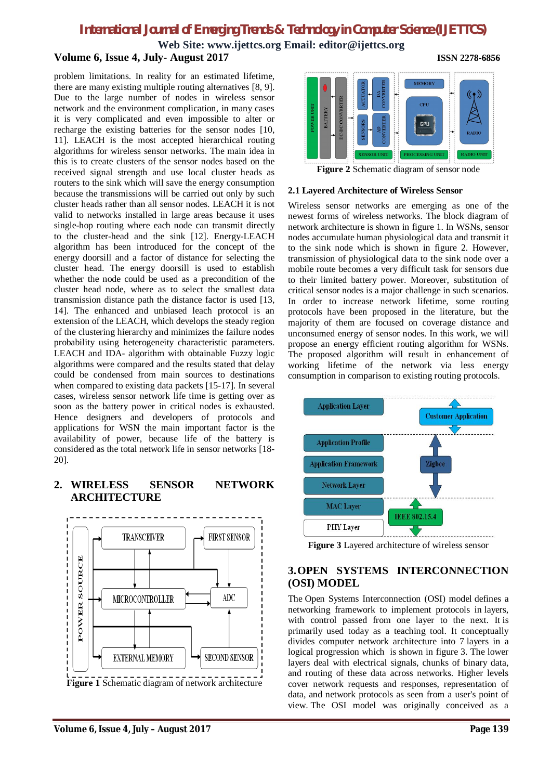**Web Site: www.ijettcs.org Email: editor@ijettcs.org Volume 6, Issue 4, July- August 2017 ISSN 2278-6856**

problem limitations. In reality for an estimated lifetime, there are many existing multiple routing alternatives [8, 9]. Due to the large number of nodes in wireless sensor network and the environment complication, in many cases it is very complicated and even impossible to alter or recharge the existing batteries for the sensor nodes [10, 11]. LEACH is the most accepted hierarchical routing algorithms for wireless sensor networks. The main idea in this is to create clusters of the sensor nodes based on the received signal strength and use local cluster heads as routers to the sink which will save the energy consumption because the transmissions will be carried out only by such cluster heads rather than all sensor nodes. LEACH it is not valid to networks installed in large areas because it uses single-hop routing where each node can transmit directly to the cluster-head and the sink [12]. Energy-LEACH algorithm has been introduced for the concept of the energy doorsill and a factor of distance for selecting the cluster head. The energy doorsill is used to establish whether the node could be used as a precondition of the cluster head node, where as to select the smallest data transmission distance path the distance factor is used [13, 14]. The enhanced and unbiased leach protocol is an extension of the LEACH, which develops the steady region of the clustering hierarchy and minimizes the failure nodes probability using heterogeneity characteristic parameters. LEACH and IDA- algorithm with obtainable Fuzzy logic algorithms were compared and the results stated that delay could be condensed from main sources to destinations when compared to existing data packets [15-17]. In several cases, wireless sensor network life time is getting over as soon as the battery power in critical nodes is exhausted. Hence designers and developers of protocols and applications for WSN the main important factor is the availability of power, because life of the battery is considered as the total network life in sensor networks [18- 20].

### **2. WIRELESS SENSOR NETWORK ARCHITECTURE**



**Figure 1** Schematic diagram of network architecture



**Figure 2** Schematic diagram of sensor node

#### **2.1 Layered Architecture of Wireless Sensor**

Wireless sensor networks are emerging as one of the newest forms of wireless networks. The block diagram of network architecture is shown in figure 1. In WSNs, sensor nodes accumulate human physiological data and transmit it to the sink node which is shown in figure 2. However, transmission of physiological data to the sink node over a mobile route becomes a very difficult task for sensors due to their limited battery power. Moreover, substitution of critical sensor nodes is a major challenge in such scenarios. In order to increase network lifetime, some routing protocols have been proposed in the literature, but the majority of them are focused on coverage distance and unconsumed energy of sensor nodes. In this work, we will propose an energy efficient routing algorithm for WSNs. The proposed algorithm will result in enhancement of working lifetime of the network via less energy consumption in comparison to existing routing protocols.



**Figure 3** Layered architecture of wireless sensor

### **3.OPEN SYSTEMS INTERCONNECTION (OSI) MODEL**

The Open Systems Interconnection (OSI) model defines a networking framework to implement protocols in layers, with control passed from one layer to the next. It is primarily used today as a teaching tool. It conceptually divides computer network architecture into 7 layers in a logical progression which is shown in figure 3. The lower layers deal with electrical signals, chunks of binary data, and routing of these data across networks. Higher levels cover network requests and responses, representation of data, and network protocols as seen from a user's point of view. The OSI model was originally conceived as a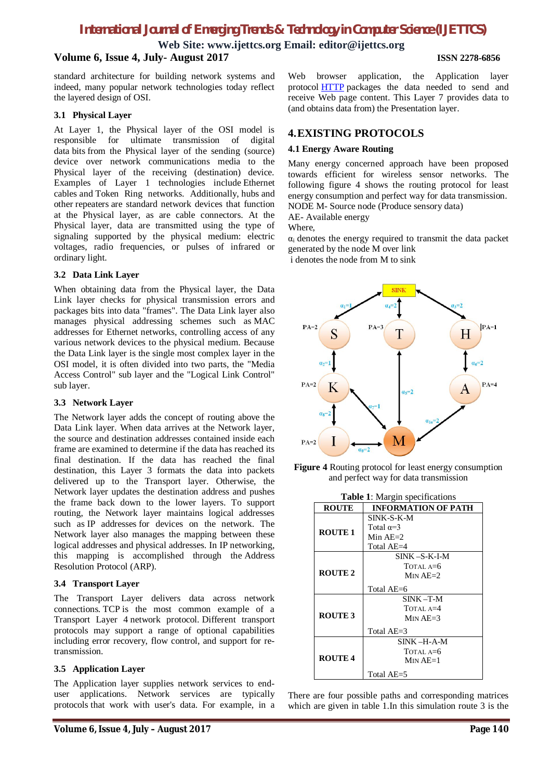**Web Site: www.ijettcs.org Email: editor@ijettcs.org**

### **Volume 6, Issue 4, July- August 2017 ISSN 2278-6856**

standard architecture for building network systems and indeed, many popular network technologies today reflect the layered design of OSI.

#### **3.1 Physical Layer**

At Layer 1, the Physical layer of the OSI model is responsible for ultimate transmission of digital data bits from the Physical layer of the sending (source) device over network communications media to the Physical layer of the receiving (destination) device. Examples of Layer 1 technologies include Ethernet cables and Token Ring networks. Additionally, hubs and other repeaters are standard network devices that function at the Physical layer, as are cable connectors. At the Physical layer, data are transmitted using the type of signaling supported by the physical medium: electric voltages, radio frequencies, or pulses of infrared or ordinary light.

#### **3.2 Data Link Layer**

When obtaining data from the Physical layer, the Data Link layer checks for physical transmission errors and packages bits into data "frames". The Data Link layer also manages physical addressing schemes such as MAC addresses for Ethernet networks, controlling access of any various network devices to the physical medium. Because the Data Link layer is the single most complex layer in the OSI model, it is often divided into two parts, the "Media Access Control" sub layer and the "Logical Link Control" sub layer.

#### **3.3 Network Layer**

The Network layer adds the concept of routing above the Data Link layer. When data arrives at the Network layer, the source and destination addresses contained inside each frame are examined to determine if the data has reached its final destination. If the data has reached the final destination, this Layer 3 formats the data into packets delivered up to the Transport layer. Otherwise, the Network layer updates the destination address and pushes the frame back down to the lower layers. To support routing, the Network layer maintains logical addresses such as IP addresses for devices on the network. The Network layer also manages the mapping between these logical addresses and physical addresses. In IP networking, this mapping is accomplished through the Address Resolution Protocol (ARP).

#### **3.4 Transport Layer**

The Transport Layer delivers data across network connections. TCP is the most common example of a Transport Layer 4 network protocol. Different transport protocols may support a range of optional capabilities including error recovery, flow control, and support for retransmission.

#### **3.5 Application Layer**

The Application layer supplies network services to enduser applications. Network services are typically protocols that work with user's data. For example, in a Web browser application, the Application layer protocol HTTP packages the data needed to send and receive Web page content. This Layer 7 provides data to (and obtains data from) the Presentation layer.

### **4.EXISTING PROTOCOLS**

### **4.1 Energy Aware Routing**

Many energy concerned approach have been proposed towards efficient for wireless sensor networks. The following figure 4 shows the routing protocol for least energy consumption and perfect way for data transmission. NODE M- Source node (Produce sensory data)

AE- Available energy

Where,

 $\alpha_i$  denotes the energy required to transmit the data packet generated by the node M over link

i denotes the node from M to sink



**Figure 4** Routing protocol for least energy consumption and perfect way for data transmission

| <b>Table 1:</b> Margin specifications |                            |
|---------------------------------------|----------------------------|
| <b>ROUTE</b>                          | <b>INFORMATION OF PATH</b> |
| <b>ROUTE 1</b>                        | SINK-S-K-M                 |
|                                       | Total $\alpha = 3$         |
|                                       | Min $AE=2$                 |
|                                       | Total AE=4                 |
| <b>ROUTE 2</b>                        | $SINK - S-K-I-M$           |
|                                       | TOTAL $A=6$                |
|                                       | $Min AE=2$                 |
|                                       | Total AE=6                 |
| <b>ROUTE 3</b>                        | $SINK - T-M$               |
|                                       | TOTAL $A=4$                |
|                                       | $Min AF=3$                 |
|                                       | Total $AE=3$               |
| <b>ROUTE 4</b>                        | SINK –H-A-M                |
|                                       | TOTAL A=6                  |
|                                       | $M_{IN}$ AE=1              |
|                                       | Total AE=5                 |

There are four possible paths and corresponding matrices which are given in table 1.In this simulation route 3 is the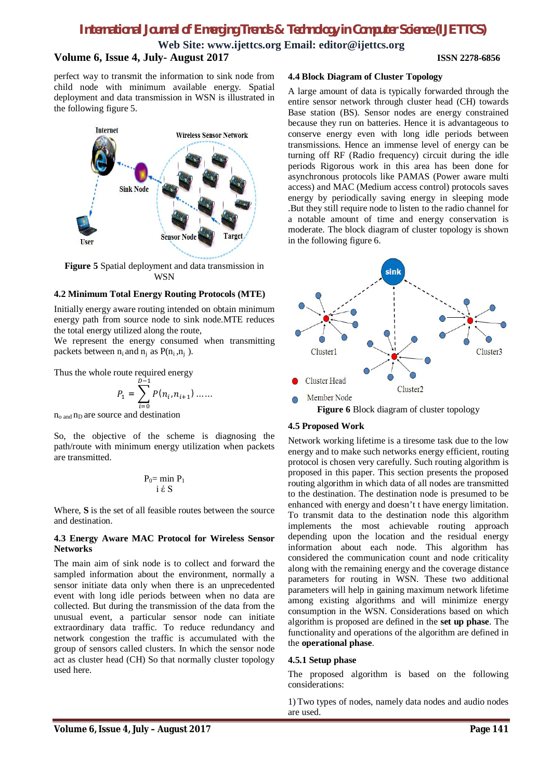**Web Site: www.ijettcs.org Email: editor@ijettcs.org**

#### **Volume 6, Issue 4, July- August 2017 ISSN 2278-6856**

perfect way to transmit the information to sink node from child node with minimum available energy. Spatial deployment and data transmission in WSN is illustrated in the following figure 5.



**Figure 5** Spatial deployment and data transmission in **WSN** 

#### **4.2 Minimum Total Energy Routing Protocols (MTE)**

Initially energy aware routing intended on obtain minimum energy path from source node to sink node.MTE reduces the total energy utilized along the route,

We represent the energy consumed when transmitting packets between  $n_i$  and  $n_i$  as  $P(n_i, n_i)$ .

Thus the whole route required energy

$$
P_1 = \sum_{i=0}^{D-1} P(n_i, n_{i+1}) \dots
$$

 $n_{o \text{ and }} n_{D}$  are source and destination

So, the objective of the scheme is diagnosing the path/route with minimum energy utilization when packets are transmitted.

$$
\begin{array}{c}P_0 = \min P_1\\ i \notin S\end{array}
$$

Where, **S** is the set of all feasible routes between the source and destination.

#### **4.3 Energy Aware MAC Protocol for Wireless Sensor Networks**

The main aim of sink node is to collect and forward the sampled information about the environment, normally a sensor initiate data only when there is an unprecedented event with long idle periods between when no data are collected. But during the transmission of the data from the unusual event, a particular sensor node can initiate extraordinary data traffic. To reduce redundancy and network congestion the traffic is accumulated with the group of sensors called clusters. In which the sensor node act as cluster head (CH) So that normally cluster topology used here.

#### **4.4 Block Diagram of Cluster Topology**

A large amount of data is typically forwarded through the entire sensor network through cluster head (CH) towards Base station (BS). Sensor nodes are energy constrained because they run on batteries. Hence it is advantageous to conserve energy even with long idle periods between transmissions. Hence an immense level of energy can be turning off RF (Radio frequency) circuit during the idle periods Rigorous work in this area has been done for asynchronous protocols like PAMAS (Power aware multi access) and MAC (Medium access control) protocols saves energy by periodically saving energy in sleeping mode .But they still require node to listen to the radio channel for a notable amount of time and energy conservation is moderate. The block diagram of cluster topology is shown in the following figure 6.



**Figure 6** Block diagram of cluster topology

#### **4.5 Proposed Work**

Network working lifetime is a tiresome task due to the low energy and to make such networks energy efficient, routing protocol is chosen very carefully. Such routing algorithm is proposed in this paper. This section presents the proposed routing algorithm in which data of all nodes are transmitted to the destination. The destination node is presumed to be enhanced with energy and doesn't t have energy limitation. To transmit data to the destination node this algorithm implements the most achievable routing approach depending upon the location and the residual energy information about each node. This algorithm has considered the communication count and node criticality along with the remaining energy and the coverage distance parameters for routing in WSN. These two additional parameters will help in gaining maximum network lifetime among existing algorithms and will minimize energy consumption in the WSN. Considerations based on which algorithm is proposed are defined in the **set up phase**. The functionality and operations of the algorithm are defined in the **operational phase**.

#### **4.5.1 Setup phase**

The proposed algorithm is based on the following considerations:

1) Two types of nodes, namely data nodes and audio nodes are used.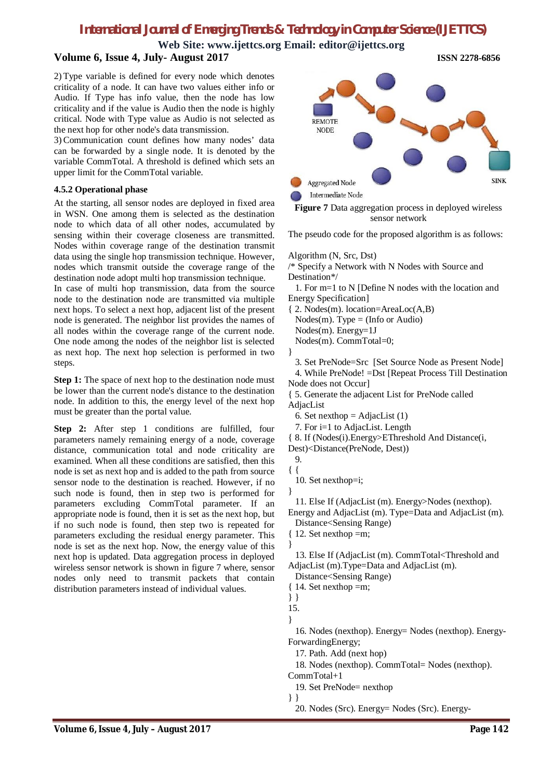**Web Site: www.ijettcs.org Email: editor@ijettcs.org**

### **Volume 6, Issue 4, July- August 2017 ISSN 2278-6856**

2) Type variable is defined for every node which denotes criticality of a node. It can have two values either info or Audio. If Type has info value, then the node has low criticality and if the value is Audio then the node is highly critical. Node with Type value as Audio is not selected as the next hop for other node's data transmission.

3) Communication count defines how many nodes' data can be forwarded by a single node. It is denoted by the variable CommTotal. A threshold is defined which sets an upper limit for the CommTotal variable.

#### **4.5.2 Operational phase**

At the starting, all sensor nodes are deployed in fixed area in WSN. One among them is selected as the destination node to which data of all other nodes, accumulated by sensing within their coverage closeness are transmitted. Nodes within coverage range of the destination transmit data using the single hop transmission technique. However, nodes which transmit outside the coverage range of the destination node adopt multi hop transmission technique.

In case of multi hop transmission, data from the source node to the destination node are transmitted via multiple next hops. To select a next hop, adjacent list of the present node is generated. The neighbor list provides the names of all nodes within the coverage range of the current node. One node among the nodes of the neighbor list is selected as next hop. The next hop selection is performed in two steps.

**Step 1:** The space of next hop to the destination node must be lower than the current node's distance to the destination node. In addition to this, the energy level of the next hop must be greater than the portal value.

**Step 2:** After step 1 conditions are fulfilled, four parameters namely remaining energy of a node, coverage distance, communication total and node criticality are examined. When all these conditions are satisfied, then this node is set as next hop and is added to the path from source sensor node to the destination is reached. However, if no such node is found, then in step two is performed for parameters excluding CommTotal parameter. If an appropriate node is found, then it is set as the next hop, but if no such node is found, then step two is repeated for parameters excluding the residual energy parameter. This node is set as the next hop. Now, the energy value of this next hop is updated. Data aggregation process in deployed wireless sensor network is shown in figure 7 where, sensor nodes only need to transmit packets that contain distribution parameters instead of individual values.





The pseudo code for the proposed algorithm is as follows:

#### Algorithm (N, Src, Dst)

/\* Specify a Network with N Nodes with Source and Destination\*/

 1. For m=1 to N [Define N nodes with the location and Energy Specification]

- { 2. Nodes(m). location=AreaLoc(A,B) Nodes $(m)$ . Type = (Info or Audio)
	-
	- Nodes(m). Energy=1J
	- Nodes(m). CommTotal=0;
- }

3. Set PreNode=Src [Set Source Node as Present Node]

 4. While PreNode! =Dst [Repeat Process Till Destination Node does not Occur]

{ 5. Generate the adjacent List for PreNode called AdjacList

- 6. Set nexthop  $=$  AdjacList  $(1)$
- 7. For i=1 to AdjacList. Length
- { 8. If (Nodes(i).Energy>EThreshold And Distance(i, Dest)<Distance(PreNode, Dest))
- 9.
- { {

10. Set nexthop=i;

}

 11. Else If (AdjacList (m). Energy>Nodes (nexthop). Energy and AdjacList (m). Type=Data and AdjacList (m). Distance<Sensing Range)

- { 12. Set nexthop =m;
- }

 13. Else If (AdjacList (m). CommTotal<Threshold and AdjacList (m).Type=Data and AdjacList (m).

Distance<Sensing Range)

{ 14. Set nexthop =m;

}

 16. Nodes (nexthop). Energy= Nodes (nexthop). Energy-ForwardingEnergy;

17. Path. Add (next hop)

 18. Nodes (nexthop). CommTotal= Nodes (nexthop). CommTotal+1

19. Set PreNode= nexthop

} }

20. Nodes (Src). Energy= Nodes (Src). Energy-

<sup>} }</sup>  15.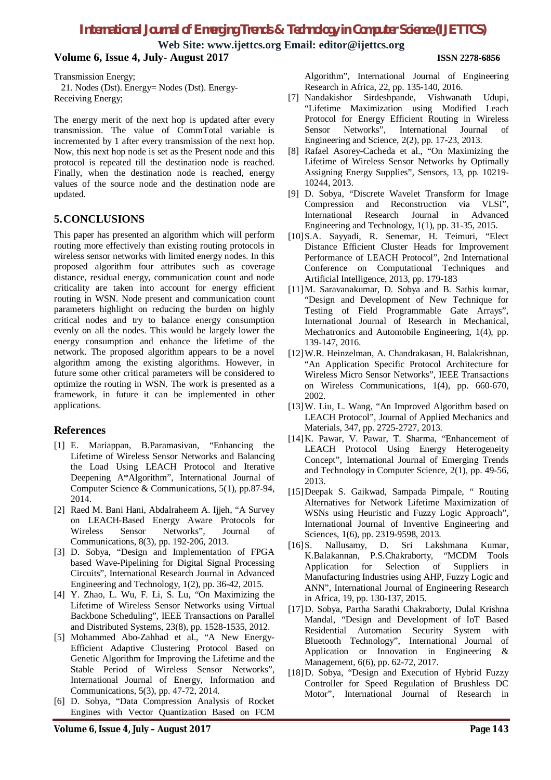**Web Site: www.ijettcs.org Email: editor@ijettcs.org**

### **Volume 6, Issue 4, July- August 2017 ISSN 2278-6856**

Transmission Energy;

 21. Nodes (Dst). Energy= Nodes (Dst). Energy-Receiving Energy;

The energy merit of the next hop is updated after every transmission. The value of CommTotal variable is incremented by 1 after every transmission of the next hop. Now, this next hop node is set as the Present node and this protocol is repeated till the destination node is reached. Finally, when the destination node is reached, energy values of the source node and the destination node are updated.

### **5.CONCLUSIONS**

This paper has presented an algorithm which will perform routing more effectively than existing routing protocols in wireless sensor networks with limited energy nodes. In this proposed algorithm four attributes such as coverage distance, residual energy, communication count and node criticality are taken into account for energy efficient routing in WSN. Node present and communication count parameters highlight on reducing the burden on highly critical nodes and try to balance energy consumption evenly on all the nodes. This would be largely lower the energy consumption and enhance the lifetime of the network. The proposed algorithm appears to be a novel algorithm among the existing algorithms. However, in future some other critical parameters will be considered to optimize the routing in WSN. The work is presented as a framework, in future it can be implemented in other applications.

### **References**

- [1] E. Mariappan, B.Paramasivan, "Enhancing the Lifetime of Wireless Sensor Networks and Balancing the Load Using LEACH Protocol and Iterative Deepening A\*Algorithm", International Journal of Computer Science & Communications, 5(1), pp.87-94, 2014.
- [2] Raed M. Bani Hani, Abdalraheem A. Ijjeh, "A Survey on LEACH-Based Energy Aware Protocols for Wireless Sensor Networks", Journal of Communications, 8(3), pp. 192-206, 2013.
- [3] D. Sobya, "Design and Implementation of FPGA based Wave-Pipelining for Digital Signal Processing Circuits", International Research Journal in Advanced Engineering and Technology, 1(2), pp. 36-42, 2015.
- [4] Y. Zhao, L. Wu, F. Li, S. Lu, "On Maximizing the Lifetime of Wireless Sensor Networks using Virtual Backbone Scheduling", IEEE Transactions on Parallel and Distributed Systems, 23(8), pp. 1528-1535, 2012.
- [5] Mohammed Abo-Zahhad et al., "A New Energy-Efficient Adaptive Clustering Protocol Based on Genetic Algorithm for Improving the Lifetime and the Stable Period of Wireless Sensor Networks", International Journal of Energy, Information and Communications, 5(3), pp. 47-72, 2014.
- [6] D. Sobya, "Data Compression Analysis of Rocket Engines with Vector Quantization Based on FCM

Algorithm", International Journal of Engineering Research in Africa, 22, pp. 135-140, 2016.

- [7] Nandakishor Sirdeshpande, Vishwanath Udupi, "Lifetime Maximization using Modified Leach Protocol for Energy Efficient Routing in Wireless<br>Sensor Networks", International Journal of Sensor Networks", International Journal of Engineering and Science, 2(2), pp. 17-23, 2013.
- [8] Rafael Asorey-Cacheda et al., "On Maximizing the Lifetime of Wireless Sensor Networks by Optimally Assigning Energy Supplies", Sensors, 13, pp. 10219- 10244, 2013.
- [9] D. Sobya, "Discrete Wavelet Transform for Image Compression and Reconstruction via VLSI", International Research Journal in Advanced Engineering and Technology, 1(1), pp. 31-35, 2015.
- [10]S.A. Sayyadi, R. Senemar, H. Teimuri, "Elect Distance Efficient Cluster Heads for Improvement Performance of LEACH Protocol", 2nd International Conference on Computational Techniques and Artificial Intelligence, 2013, pp. 179-183
- [11]M. Saravanakumar, D. Sobya and B. Sathis kumar, "Design and Development of New Technique for Testing of Field Programmable Gate Arrays", International Journal of Research in Mechanical, Mechatronics and Automobile Engineering, 1(4), pp. 139-147, 2016.
- [12]W.R. Heinzelman, A. Chandrakasan, H. Balakrishnan, "An Application Specific Protocol Architecture for Wireless Micro Sensor Networks", IEEE Transactions on Wireless Communications, 1(4), pp. 660-670, 2002.
- [13]W. Liu, L. Wang, "An Improved Algorithm based on LEACH Protocol", Journal of Applied Mechanics and Materials, 347, pp. 2725-2727, 2013.
- [14]K. Pawar, V. Pawar, T. Sharma, "Enhancement of LEACH Protocol Using Energy Heterogeneity Concept", International Journal of Emerging Trends and Technology in Computer Science, 2(1), pp. 49-56, 2013.
- [15]Deepak S. Gaikwad, Sampada Pimpale, " Routing Alternatives for Network Lifetime Maximization of WSNs using Heuristic and Fuzzy Logic Approach", International Journal of Inventive Engineering and Sciences, 1(6), pp. 2319-9598, 2013.
- [16]S. Nallusamy, D. Sri Lakshmana Kumar, K.Balakannan, P.S.Chakraborty, "MCDM Tools Application for Selection of Suppliers in Manufacturing Industries using AHP, Fuzzy Logic and ANN", International Journal of Engineering Research in Africa, 19, pp. 130-137, 2015.
- [17]D. Sobya, Partha Sarathi Chakraborty, Dulal Krishna Mandal, "Design and Development of IoT Based Residential Automation Security System with Bluetooth Technology", International Journal of Application or Innovation in Engineering & Management, 6(6), pp. 62-72, 2017.
- [18]D. Sobya, "Design and Execution of Hybrid Fuzzy Controller for Speed Regulation of Brushless DC Motor", International Journal of Research in